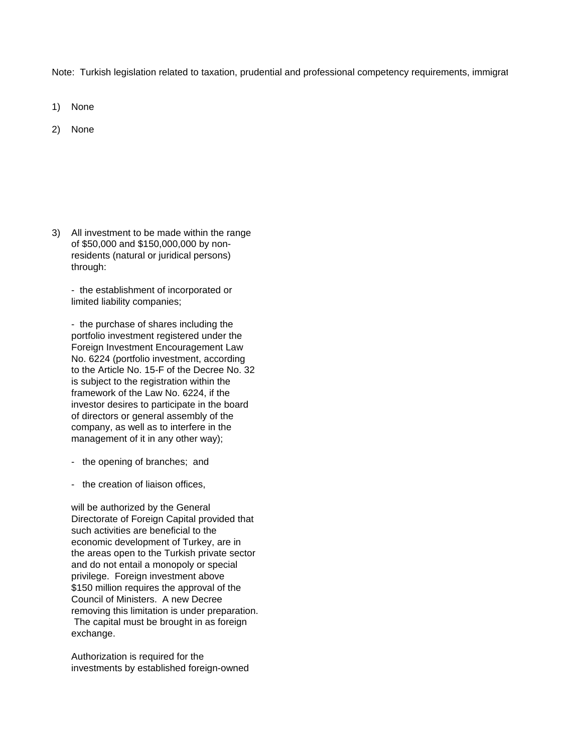Note: Turkish legislation related to taxation, prudential and professional competency requirements, immigrate

- 1) None
- 2) None

3) All investment to be made within the range of \$50,000 and \$150,000,000 by nonresidents (natural or juridical persons) through:

- the establishment of incorporated or limited liability companies;

- the purchase of shares including the portfolio investment registered under the Foreign Investment Encouragement Law No. 6224 (portfolio investment, according to the Article No. 15-F of the Decree No. 32 is subject to the registration within the framework of the Law No. 6224, if the investor desires to participate in the board of directors or general assembly of the company, as well as to interfere in the management of it in any other way);

- the opening of branches; and
- the creation of liaison offices,

will be authorized by the General Directorate of Foreign Capital provided that such activities are beneficial to the economic development of Turkey, are in the areas open to the Turkish private sector and do not entail a monopoly or special privilege. Foreign investment above \$150 million requires the approval of the Council of Ministers. A new Decree removing this limitation is under preparation. The capital must be brought in as foreign exchange.

Authorization is required for the investments by established foreign-owned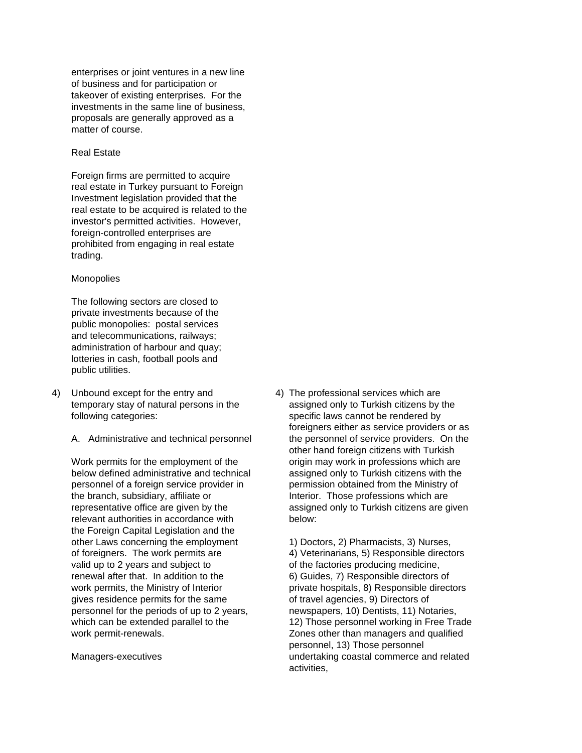enterprises or joint ventures in a new line of business and for participation or takeover of existing enterprises. For the investments in the same line of business, proposals are generally approved as a matter of course.

#### Real Estate

Foreign firms are permitted to acquire real estate in Turkey pursuant to Foreign Investment legislation provided that the real estate to be acquired is related to the investor's permitted activities. However, foreign-controlled enterprises are prohibited from engaging in real estate trading.

#### **Monopolies**

The following sectors are closed to private investments because of the public monopolies: postal services and telecommunications, railways; administration of harbour and quay; lotteries in cash, football pools and public utilities.

- 4) Unbound except for the entry and 4) The professional services which are following categories: specific laws cannot be rendered by
	-

the branch, subsidiary, affiliate or **Interior.** Those professions which are relevant authorities in accordance with below: the Foreign Capital Legislation and the other Laws concerning the employment 1) Doctors, 2) Pharmacists, 3) Nurses, of foreigners. The work permits are 4) Veterinarians, 5) Responsible directors valid up to 2 years and subject to of the factories producing medicine, renewal after that. In addition to the 6) Guides, 7) Responsible directors of work permits, the Ministry of Interior private hospitals, 8) Responsible directors gives residence permits for the same of travel agencies, 9) Directors of personnel for the periods of up to 2 years, newspapers, 10) Dentists, 11) Notaries, work permit-renewals.  $\qquad \qquad$  Zones other than managers and qualified

temporary stay of natural persons in the assigned only to Turkish citizens by the foreigners either as service providers or as A. Administrative and technical personnel the personnel of service providers. On the other hand foreign citizens with Turkish Work permits for the employment of the origin may work in professions which are below defined administrative and technical assigned only to Turkish citizens with the personnel of a foreign service provider in permission obtained from the Ministry of representative office are given by the assigned only to Turkish citizens are given

which can be extended parallel to the 12) Those personnel working in Free Trade personnel, 13) Those personnel Managers-executives undertaking coastal commerce and related activities,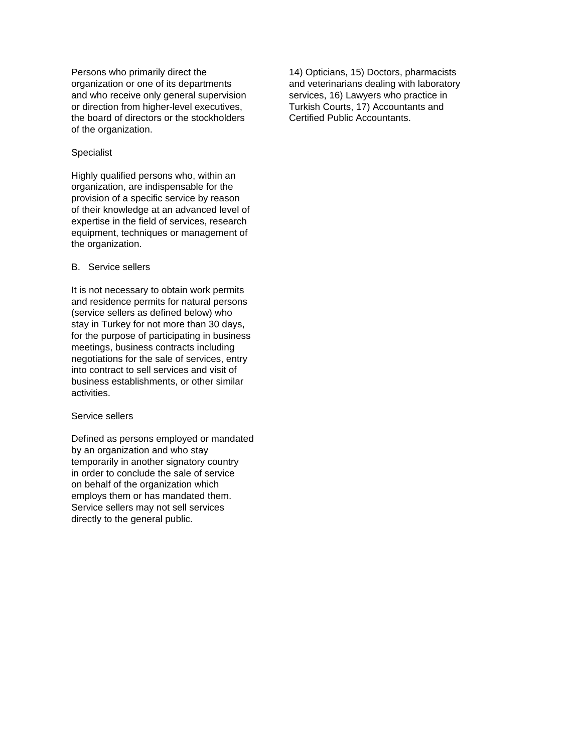Persons who primarily direct the 14) Opticians, 15) Doctors, pharmacists organization or one of its departments and veterinarians dealing with laboratory and who receive only general supervision services, 16) Lawyers who practice in or direction from higher-level executives, Turkish Courts, 17) Accountants and the board of directors or the stockholders Certified Public Accountants. of the organization.

# Specialist

Highly qualified persons who, within an organization, are indispensable for the provision of a specific service by reason of their knowledge at an advanced level of expertise in the field of services, research equipment, techniques or management of the organization.

# B. Service sellers

It is not necessary to obtain work permits and residence permits for natural persons (service sellers as defined below) who stay in Turkey for not more than 30 days, for the purpose of participating in business meetings, business contracts including negotiations for the sale of services, entry into contract to sell services and visit of business establishments, or other similar activities.

### Service sellers

Defined as persons employed or mandated by an organization and who stay temporarily in another signatory country in order to conclude the sale of service on behalf of the organization which employs them or has mandated them. Service sellers may not sell services directly to the general public.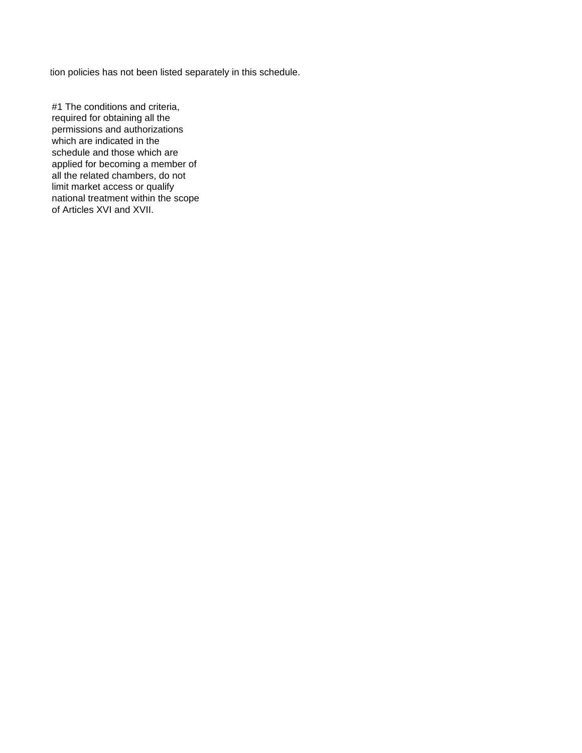tion policies has not been listed separately in this schedule.

#1 The conditions and criteria, required for obtaining all the permissions and authorizations which are indicated in the schedule and those which are applied for becoming a member of all the related chambers, do not limit market access or qualify national treatment within the scope of Articles XVI and XVII.